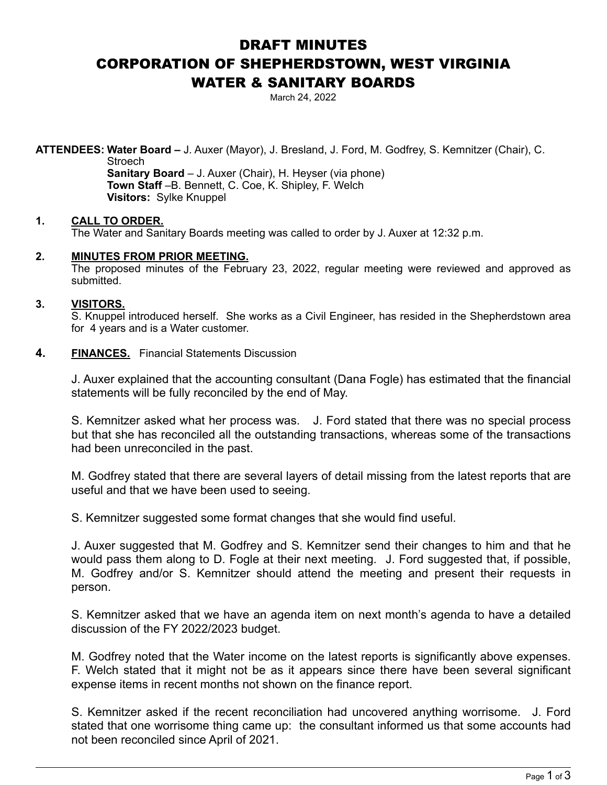# DRAFT MINUTES CORPORATION OF SHEPHERDSTOWN, WEST VIRGINIA WATER & SANITARY BOARDS

March 24, 2022

**ATTENDEES: Water Board –** J. Auxer (Mayor), J. Bresland, J. Ford, M. Godfrey, S. Kemnitzer (Chair), C. **Stroech** 

> **Sanitary Board** – J. Auxer (Chair), H. Heyser (via phone) **Town Staff** –B. Bennett, C. Coe, K. Shipley, F. Welch **Visitors:** Sylke Knuppel

# **1. CALL TO ORDER.**

The Water and Sanitary Boards meeting was called to order by J. Auxer at 12:32 p.m.

## **2. MINUTES FROM PRIOR MEETING.**

The proposed minutes of the February 23, 2022, regular meeting were reviewed and approved as submitted.

## **3. VISITORS.**

S. Knuppel introduced herself. She works as a Civil Engineer, has resided in the Shepherdstown area for 4 years and is a Water customer.

## **4. FINANCES.** Financial Statements Discussion

J. Auxer explained that the accounting consultant (Dana Fogle) has estimated that the financial statements will be fully reconciled by the end of May.

 S. Kemnitzer asked what her process was. J. Ford stated that there was no special process but that she has reconciled all the outstanding transactions, whereas some of the transactions had been unreconciled in the past.

 M. Godfrey stated that there are several layers of detail missing from the latest reports that are useful and that we have been used to seeing.

S. Kemnitzer suggested some format changes that she would find useful.

 J. Auxer suggested that M. Godfrey and S. Kemnitzer send their changes to him and that he would pass them along to D. Fogle at their next meeting. J. Ford suggested that, if possible, M. Godfrey and/or S. Kemnitzer should attend the meeting and present their requests in person.

 S. Kemnitzer asked that we have an agenda item on next month's agenda to have a detailed discussion of the FY 2022/2023 budget.

 M. Godfrey noted that the Water income on the latest reports is significantly above expenses. F. Welch stated that it might not be as it appears since there have been several significant expense items in recent months not shown on the finance report.

 S. Kemnitzer asked if the recent reconciliation had uncovered anything worrisome. J. Ford stated that one worrisome thing came up: the consultant informed us that some accounts had not been reconciled since April of 2021.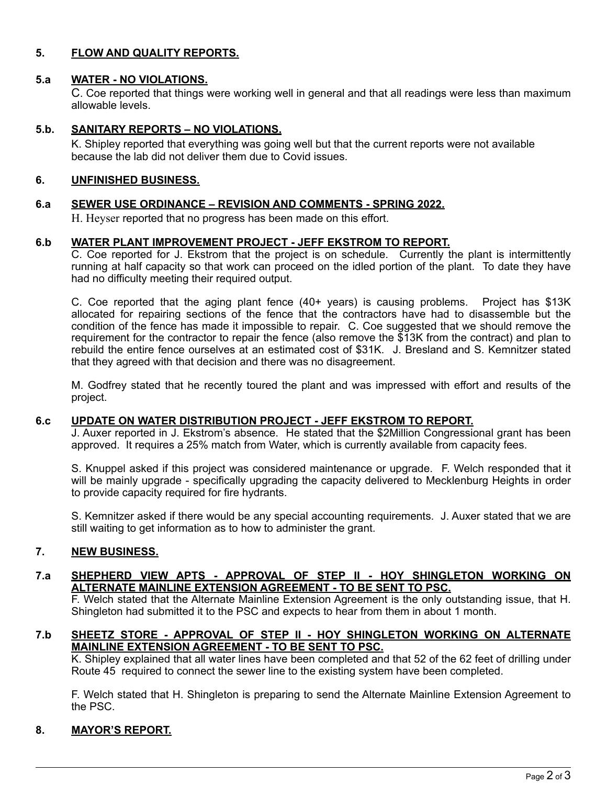# **5. FLOW AND QUALITY REPORTS.**

## **5.a WATER - NO VIOLATIONS.**

C. Coe reported that things were working well in general and that all readings were less than maximum allowable levels.

# **5.b. SANITARY REPORTS – NO VIOLATIONS.**

K. Shipley reported that everything was going well but that the current reports were not available because the lab did not deliver them due to Covid issues.

#### **6. UNFINISHED BUSINESS.**

#### **6.a SEWER USE ORDINANCE – REVISION AND COMMENTS - SPRING 2022.**

H. Heyser reported that no progress has been made on this effort.

#### **6.b WATER PLANT IMPROVEMENT PROJECT - JEFF EKSTROM TO REPORT.**

 C. Coe reported for J. Ekstrom that the project is on schedule. Currently the plant is intermittently running at half capacity so that work can proceed on the idled portion of the plant. To date they have had no difficulty meeting their required output.

 C. Coe reported that the aging plant fence (40+ years) is causing problems. Project has \$13K allocated for repairing sections of the fence that the contractors have had to disassemble but the condition of the fence has made it impossible to repair. C. Coe suggested that we should remove the requirement for the contractor to repair the fence (also remove the \$13K from the contract) and plan to rebuild the entire fence ourselves at an estimated cost of \$31K. J. Bresland and S. Kemnitzer stated that they agreed with that decision and there was no disagreement.

 M. Godfrey stated that he recently toured the plant and was impressed with effort and results of the project.

#### **6.c UPDATE ON WATER DISTRIBUTION PROJECT - JEFF EKSTROM TO REPORT.**

 J. Auxer reported in J. Ekstrom's absence. He stated that the \$2Million Congressional grant has been approved. It requires a 25% match from Water, which is currently available from capacity fees.

 S. Knuppel asked if this project was considered maintenance or upgrade. F. Welch responded that it will be mainly upgrade - specifically upgrading the capacity delivered to Mecklenburg Heights in order to provide capacity required for fire hydrants.

 S. Kemnitzer asked if there would be any special accounting requirements. J. Auxer stated that we are still waiting to get information as to how to administer the grant.

#### **7. NEW BUSINESS.**

#### **7.a SHEPHERD VIEW APTS - APPROVAL OF STEP II - HOY SHINGLETON WORKING ON ALTERNATE MAINLINE EXTENSION AGREEMENT - TO BE SENT TO PSC.**

F. Welch stated that the Alternate Mainline Extension Agreement is the only outstanding issue, that H. Shingleton had submitted it to the PSC and expects to hear from them in about 1 month.

## **7.b SHEETZ STORE - APPROVAL OF STEP II - HOY SHINGLETON WORKING ON ALTERNATE MAINLINE EXTENSION AGREEMENT - TO BE SENT TO PSC.**

K. Shipley explained that all water lines have been completed and that 52 of the 62 feet of drilling under Route 45 required to connect the sewer line to the existing system have been completed.

F. Welch stated that H. Shingleton is preparing to send the Alternate Mainline Extension Agreement to the PSC.

# **8. MAYOR'S REPORT.**